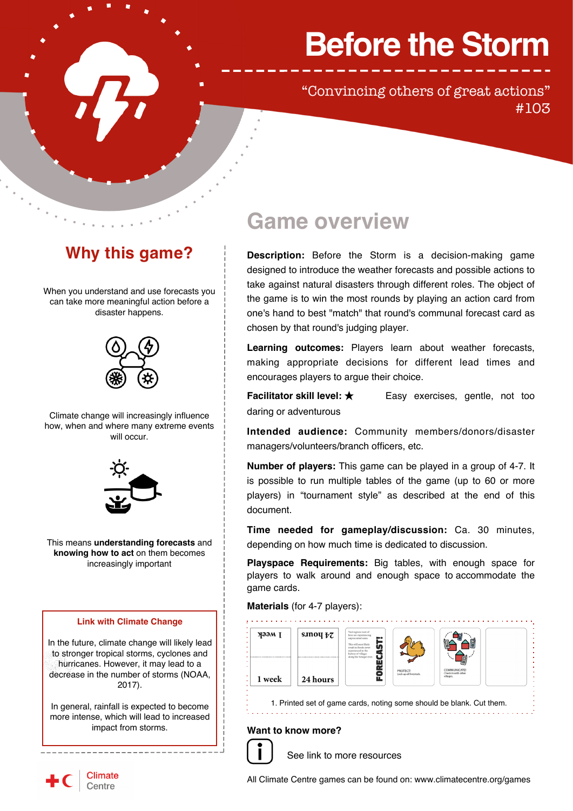# **Before the Storm**

 "Convincing others of great actions" #103

## **Why this game?**

When you understand and use forecasts you can take more meaningful action before a disaster happens.



Climate change will increasingly influence how, when and where many extreme events will occur.



This means **understanding forecasts** and **knowing how to act** on them becomes increasingly important

### **Link with Climate Change**

In the future, climate change will likely lead to stronger tropical storms, cyclones and hurricanes. However, it may lead to a decrease in the number of storms (NOAA, 2017).

In general, rainfall is expected to become more intense, which will lead to increased impact from storms.

------------------------

### **Game overview**

**Description:** Before the Storm is a decision-making game designed to introduce the weather forecasts and possible actions to take against natural disasters through different roles. The object of the game is to win the most rounds by playing an action card from one's hand to best "match" that round's communal forecast card as chosen by that round's judging player.

**Learning outcomes:** Players learn about weather forecasts, making appropriate decisions for different lead times and encourages players to argue their choice.

**Facilitator skill level: ★** Easy exercises, gentle, not too daring or adventurous

**Intended audience:** Community members/donors/disaster managers/volunteers/branch officers, etc.

**Number of players:** This game can be played in a group of 4-7. It is possible to run multiple tables of the game (up to 60 or more players) in "tournament style" as described at the end of this document.

**Time needed for gameplay/discussion:** Ca. 30 minutes, depending on how much time is dedicated to discussion.

**Playspace Requirements:** Big tables, with enough space for players to walk around and enough space to accommodate the game cards.

**Materials** (for 4-7 players):



1. Printed set of game cards, noting some should be blank. Cut them.

### **Want to know more?**



 [See link to more resources](http://www.climatecentre.org/resources-games-v2/games-overview-v2/3/before-the-storm)

a a a a a a a a



All Climate Centre games can be found on: <www.climatecentre.org/games>